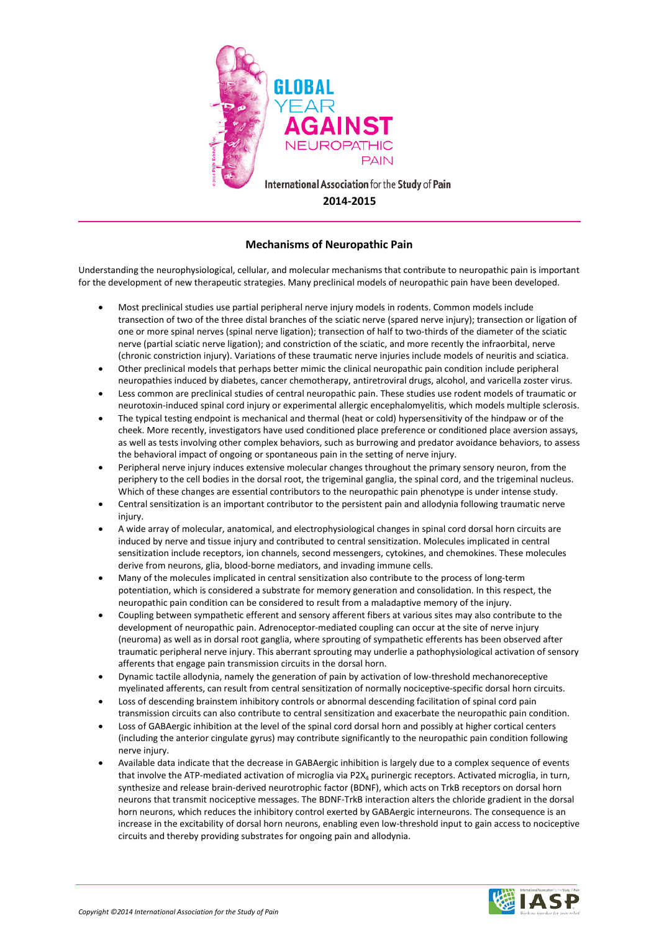

## **Mechanisms of Neuropathic Pain**

Understanding the neurophysiological, cellular, and molecular mechanisms that contribute to neuropathic pain is important for the development of new therapeutic strategies. Many preclinical models of neuropathic pain have been developed.

- Most preclinical studies use partial peripheral nerve injury models in rodents. Common models include transection of two of the three distal branches of the sciatic nerve (spared nerve injury); transection or ligation of one or more spinal nerves (spinal nerve ligation); transection of half to two-thirds of the diameter of the sciatic nerve (partial sciatic nerve ligation); and constriction of the sciatic, and more recently the infraorbital, nerve (chronic constriction injury). Variations of these traumatic nerve injuries include models of neuritis and sciatica.
- Other preclinical models that perhaps better mimic the clinical neuropathic pain condition include peripheral neuropathies induced by diabetes, cancer chemotherapy, antiretroviral drugs, alcohol, and varicella zoster virus.
- Less common are preclinical studies of central neuropathic pain. These studies use rodent models of traumatic or neurotoxin-induced spinal cord injury or experimental allergic encephalomyelitis, which models multiple sclerosis.
- The typical testing endpoint is mechanical and thermal (heat or cold) hypersensitivity of the hindpaw or of the cheek. More recently, investigators have used conditioned place preference or conditioned place aversion assays, as well as tests involving other complex behaviors, such as burrowing and predator avoidance behaviors, to assess the behavioral impact of ongoing or spontaneous pain in the setting of nerve injury.
- Peripheral nerve injury induces extensive molecular changes throughout the primary sensory neuron, from the periphery to the cell bodies in the dorsal root, the trigeminal ganglia, the spinal cord, and the trigeminal nucleus. Which of these changes are essential contributors to the neuropathic pain phenotype is under intense study.
- Central sensitization is an important contributor to the persistent pain and allodynia following traumatic nerve injury.
- A wide array of molecular, anatomical, and electrophysiological changes in spinal cord dorsal horn circuits are induced by nerve and tissue injury and contributed to central sensitization. Molecules implicated in central sensitization include receptors, ion channels, second messengers, cytokines, and chemokines. These molecules derive from neurons, glia, blood-borne mediators, and invading immune cells.
- Many of the molecules implicated in central sensitization also contribute to the process of long-term potentiation, which is considered a substrate for memory generation and consolidation. In this respect, the neuropathic pain condition can be considered to result from a maladaptive memory of the injury.
- Coupling between sympathetic efferent and sensory afferent fibers at various sites may also contribute to the development of neuropathic pain. Adrenoceptor-mediated coupling can occur at the site of nerve injury (neuroma) as well as in dorsal root ganglia, where sprouting of sympathetic efferents has been observed after traumatic peripheral nerve injury. This aberrant sprouting may underlie a pathophysiological activation of sensory afferents that engage pain transmission circuits in the dorsal horn.
- Dynamic tactile allodynia, namely the generation of pain by activation of low-threshold mechanoreceptive myelinated afferents, can result from central sensitization of normally nociceptive-specific dorsal horn circuits.
- Loss of descending brainstem inhibitory controls or abnormal descending facilitation of spinal cord pain transmission circuits can also contribute to central sensitization and exacerbate the neuropathic pain condition.
- Loss of GABAergic inhibition at the level of the spinal cord dorsal horn and possibly at higher cortical centers (including the anterior cingulate gyrus) may contribute significantly to the neuropathic pain condition following nerve injury.
- Available data indicate that the decrease in GABAergic inhibition is largely due to a complex sequence of events that involve the ATP-mediated activation of microglia via P2X<sub>4</sub> purinergic receptors. Activated microglia, in turn, synthesize and release brain-derived neurotrophic factor (BDNF), which acts on TrkB receptors on dorsal horn neurons that transmit nociceptive messages. The BDNF-TrkB interaction alters the chloride gradient in the dorsal horn neurons, which reduces the inhibitory control exerted by GABAergic interneurons. The consequence is an increase in the excitability of dorsal horn neurons, enabling even low-threshold input to gain access to nociceptive circuits and thereby providing substrates for ongoing pain and allodynia.